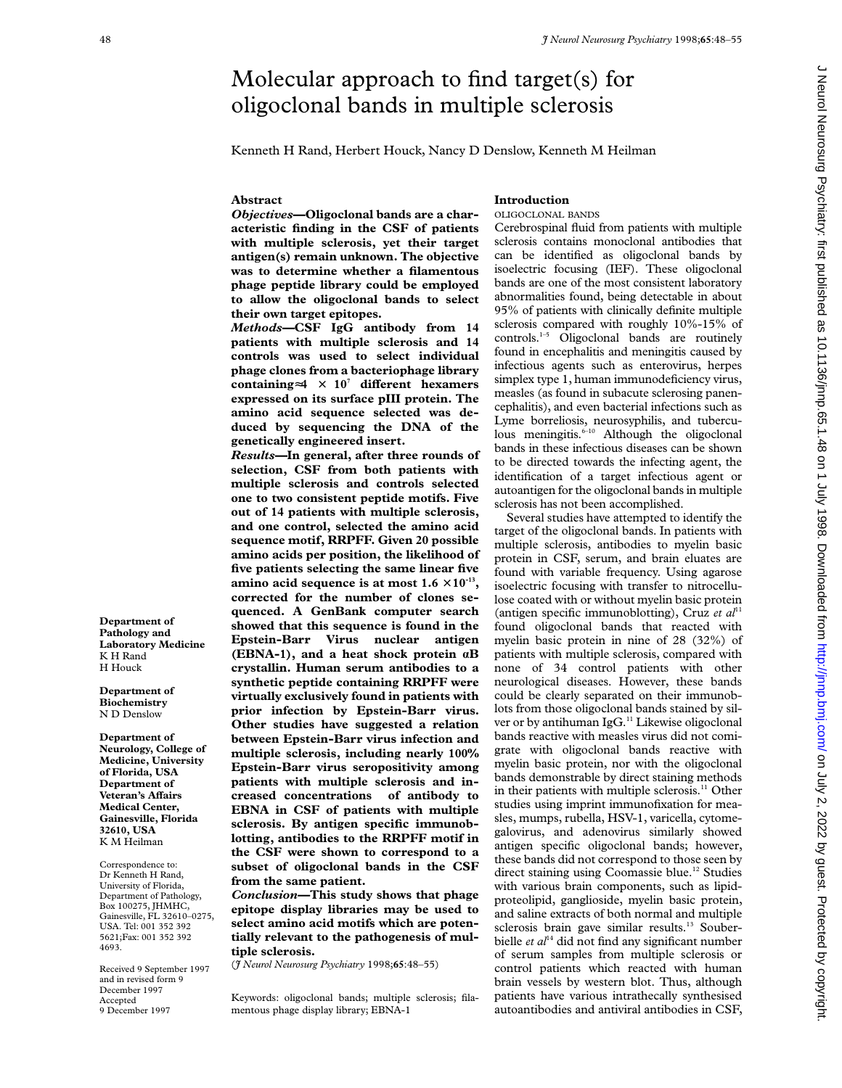# Molecular approach to find target(s) for oligoclonal bands in multiple sclerosis

Kenneth H Rand, Herbert Houck, Nancy D Denslow, Kenneth M Heilman

#### **Abstract**

## **Introduction**

*Objectives***—Oligoclonal bands are a characteristic finding in the CSF of patients with multiple sclerosis, yet their target antigen(s) remain unknown. The objective was to determine whether a filamentous phage peptide library could be employed to allow the oligoclonal bands to select their own target epitopes.**

*Methods—***CSF IgG antibody from 14 patients with multiple sclerosis and 14 controls was used to select individual phage clones from a bacteriophage library containing**≈**4** × **107 diVerent hexamers expressed on its surface pIII protein. The amino acid sequence selected was deduced by sequencing the DNA of the genetically engineered insert.**

*Results—***In general, after three rounds of selection, CSF from both patients with multiple sclerosis and controls selected one to two consistent peptide motifs. Five out of 14 patients with multiple sclerosis, and one control, selected the amino acid sequence motif, RRPFF. Given 20 possible amino acids per position, the likelihood of five patients selecting the same linear five amino acid sequence is at most**  $1.6 \times 10^{-13}$ **, corrected for the number of clones sequenced. A GenBank computer search showed that this sequence is found in the Epstein-Barr Virus nuclear antigen (EBNA-1), and a heat shock protein áB crystallin. Human serum antibodies to a synthetic peptide containing RRPFF were virtually exclusively found in patients with prior infection by Epstein-Barr virus. Other studies have suggested a relation between Epstein-Barr virus infection and multiple sclerosis, including nearly 100% Epstein-Barr virus seropositivity among patients with multiple sclerosis and increased concentrations of antibody to EBNA in CSF of patients with multiple sclerosis. By antigen specific immunoblotting, antibodies to the RRPFF motif in the CSF were shown to correspond to a subset of oligoclonal bands in the CSF from the same patient.**

*Conclusion—***This study shows that phage epitope display libraries may be used to select amino acid motifs which are potentially relevant to the pathogenesis of multiple sclerosis.**

(*J Neurol Neurosurg Psychiatry* 1998;**65**:48–55)

Keywords: oligoclonal bands; multiple sclerosis; filamentous phage display library; EBNA-1

OLIGOCLONAL BANDS Cerebrospinal fluid from patients with multiple sclerosis contains monoclonal antibodies that can be identified as oligoclonal bands by isoelectric focusing (IEF). These oligoclonal bands are one of the most consistent laboratory abnormalities found, being detectable in about 95% of patients with clinically definite multiple sclerosis compared with roughly 10%-15% of controls.<sup>1-5</sup> Oligoclonal bands are routinely found in encephalitis and meningitis caused by infectious agents such as enterovirus, herpes simplex type 1, human immunodeficiency virus, measles (as found in subacute sclerosing panencephalitis), and even bacterial infections such as Lyme borreliosis, neurosyphilis, and tuberculous meningitis. $6-10$  Although the oligoclonal bands in these infectious diseases can be shown to be directed towards the infecting agent, the identification of a target infectious agent or autoantigen for the oligoclonal bands in multiple sclerosis has not been accomplished.

Several studies have attempted to identify the target of the oligoclonal bands. In patients with multiple sclerosis, antibodies to myelin basic protein in CSF, serum, and brain eluates are found with variable frequency. Using agarose isoelectric focusing with transfer to nitrocellulose coated with or without myelin basic protein (antigen specific immunoblotting), Cruz *et al*<sup>11</sup> found oligoclonal bands that reacted with myelin basic protein in nine of 28 (32%) of patients with multiple sclerosis, compared with none of 34 control patients with other neurological diseases. However, these bands could be clearly separated on their immunoblots from those oligoclonal bands stained by silver or by antihuman IgG.<sup>11</sup> Likewise oligoclonal bands reactive with measles virus did not comigrate with oligoclonal bands reactive with myelin basic protein, nor with the oligoclonal bands demonstrable by direct staining methods in their patients with multiple sclerosis.<sup>11</sup> Other studies using imprint immunofixation for measles, mumps, rubella, HSV-1, varicella, cytomegalovirus, and adenovirus similarly showed antigen specific oligoclonal bands; however, these bands did not correspond to those seen by direct staining using Coomassie blue.12 Studies with various brain components, such as lipidproteolipid, ganglioside, myelin basic protein, and saline extracts of both normal and multiple sclerosis brain gave similar results.<sup>13</sup> Souberbielle et al<sup>14</sup> did not find any significant number of serum samples from multiple sclerosis or control patients which reacted with human brain vessels by western blot. Thus, although patients have various intrathecally synthesised autoantibodies and antiviral antibodies in CSF,

**Department of Pathology and Laboratory Medicine** K H Rand H Houck

**Department of Biochemistry** N D Denslow

**Department of Neurology, College of Medicine, University of Florida, USA Department of Veteran's AVairs Medical Center, Gainesville, Florida 32610, USA** K M Heilman

Correspondence to: Dr Kenneth H Rand, University of Florida, Department of Pathology, Box 100275, JHMHC, Gainesville, FL 32610–0275, USA. Tel: 001 352 392 5621;Fax: 001 352 392 4693.

Received 9 September 1997 and in revised form 9 December 1997 Accepted 9 December 1997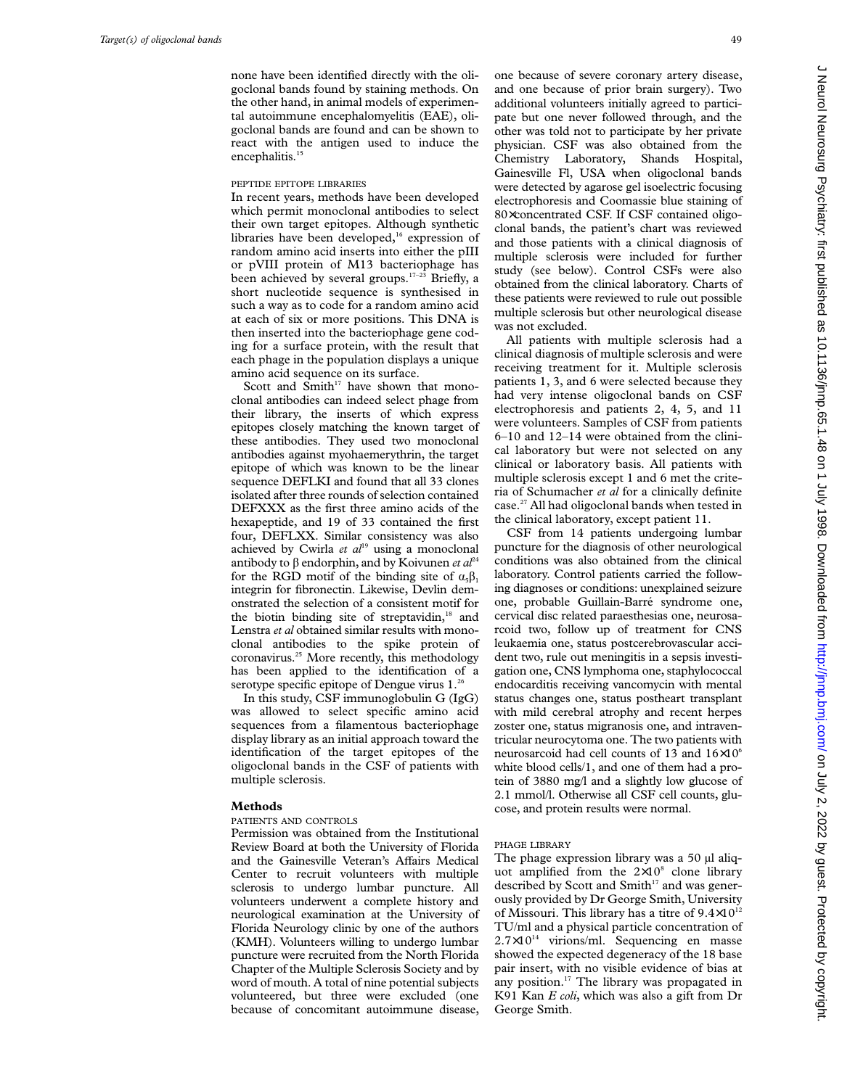none have been identified directly with the oligoclonal bands found by staining methods. On the other hand, in animal models of experimental autoimmune encephalomyelitis (EAE), oligoclonal bands are found and can be shown to react with the antigen used to induce the encephalitis.<sup>15</sup>

#### PEPTIDE EPITOPE LIBRARIES

In recent years, methods have been developed which permit monoclonal antibodies to select their own target epitopes. Although synthetic libraries have been developed, $16$  expression of random amino acid inserts into either the pIII or pVIII protein of M13 bacteriophage has been achieved by several groups.<sup>17-23</sup> Briefly, a short nucleotide sequence is synthesised in such a way as to code for a random amino acid at each of six or more positions. This DNA is then inserted into the bacteriophage gene coding for a surface protein, with the result that each phage in the population displays a unique amino acid sequence on its surface.

Scott and Smith $17$  have shown that monoclonal antibodies can indeed select phage from their library, the inserts of which express epitopes closely matching the known target of these antibodies. They used two monoclonal antibodies against myohaemerythrin, the target epitope of which was known to be the linear sequence DEFLKI and found that all 33 clones isolated after three rounds of selection contained DEFXXX as the first three amino acids of the hexapeptide, and 19 of 33 contained the first four, DEFLXX. Similar consistency was also achieved by Cwirla et al<sup>19</sup> using a monoclonal antibody to  $\beta$  endorphin, and by Koivunen *et al*<sup>24</sup> for the RGD motif of the binding site of  $\alpha_s \beta_1$ integrin for fibronectin. Likewise, Devlin demonstrated the selection of a consistent motif for the biotin binding site of streptavidin,<sup>18</sup> and Lenstra *et al* obtained similar results with monoclonal antibodies to the spike protein of coronavirus.25 More recently, this methodology has been applied to the identification of a serotype specific epitope of Dengue virus 1.<sup>26</sup>

In this study, CSF immunoglobulin G (IgG) was allowed to select specific amino acid sequences from a filamentous bacteriophage display library as an initial approach toward the identification of the target epitopes of the oligoclonal bands in the CSF of patients with multiple sclerosis.

## **Methods**

#### PATIENTS AND CONTROLS

Permission was obtained from the Institutional Review Board at both the University of Florida and the Gainesville Veteran's Affairs Medical Center to recruit volunteers with multiple sclerosis to undergo lumbar puncture. All volunteers underwent a complete history and neurological examination at the University of Florida Neurology clinic by one of the authors (KMH). Volunteers willing to undergo lumbar puncture were recruited from the North Florida Chapter of the Multiple Sclerosis Society and by word of mouth. A total of nine potential subjects volunteered, but three were excluded (one because of concomitant autoimmune disease,

one because of severe coronary artery disease, and one because of prior brain surgery). Two additional volunteers initially agreed to participate but one never followed through, and the other was told not to participate by her private physician. CSF was also obtained from the Chemistry Laboratory, Shands Hospital, Gainesville Fl, USA when oligoclonal bands were detected by agarose gel isoelectric focusing electrophoresis and Coomassie blue staining of 80×concentrated CSF. If CSF contained oligoclonal bands, the patient's chart was reviewed and those patients with a clinical diagnosis of multiple sclerosis were included for further study (see below). Control CSFs were also obtained from the clinical laboratory. Charts of these patients were reviewed to rule out possible multiple sclerosis but other neurological disease was not excluded.

All patients with multiple sclerosis had a clinical diagnosis of multiple sclerosis and were receiving treatment for it. Multiple sclerosis patients 1, 3, and 6 were selected because they had very intense oligoclonal bands on CSF electrophoresis and patients 2, 4, 5, and 11 were volunteers. Samples of CSF from patients 6–10 and 12–14 were obtained from the clinical laboratory but were not selected on any clinical or laboratory basis. All patients with multiple sclerosis except 1 and 6 met the criteria of Schumacher *et al* for a clinically definite case.<sup>27</sup> All had oligoclonal bands when tested in the clinical laboratory, except patient 11.

CSF from 14 patients undergoing lumbar puncture for the diagnosis of other neurological conditions was also obtained from the clinical laboratory. Control patients carried the following diagnoses or conditions: unexplained seizure one, probable Guillain-Barré syndrome one, cervical disc related paraesthesias one, neurosarcoid two, follow up of treatment for CNS leukaemia one, status postcerebrovascular accident two, rule out meningitis in a sepsis investigation one, CNS lymphoma one, staphylococcal endocarditis receiving vancomycin with mental status changes one, status postheart transplant with mild cerebral atrophy and recent herpes zoster one, status migranosis one, and intraventricular neurocytoma one. The two patients with neurosarcoid had cell counts of 13 and 16×106 white blood cells/1, and one of them had a protein of 3880 mg/l and a slightly low glucose of 2.1 mmol/l. Otherwise all CSF cell counts, glucose, and protein results were normal.

#### PHAGE LIBRARY

The phage expression library was a 50 µl aliquot amplified from the  $2\times10^8$  clone library described by Scott and Smith $17$  and was generously provided by Dr George Smith, University of Missouri. This library has a titre of  $9.4 \times 10^{12}$ TU/ml and a physical particle concentration of  $2.7\times10^{14}$  virions/ml. Sequencing en masse showed the expected degeneracy of the 18 base pair insert, with no visible evidence of bias at any position.<sup>17</sup> The library was propagated in K91 Kan *E coli*, which was also a gift from Dr George Smith.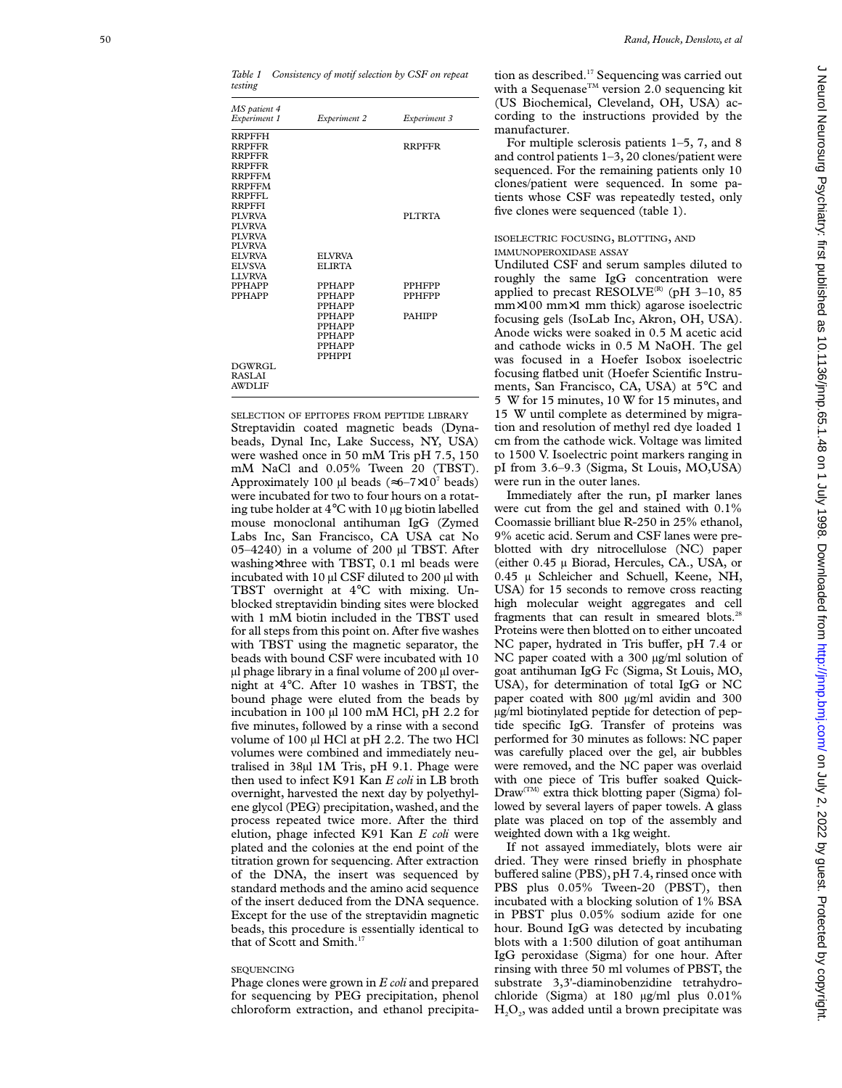| MS patient 4<br>Experiment 1 | Experiment 2   | Experiment 3  |
|------------------------------|----------------|---------------|
| <b>RRPFFH</b>                |                |               |
| <b>RRPFFR</b>                |                | <b>RRPFFR</b> |
| <b>RRPFFR</b>                |                |               |
| <b>RRPFFR</b>                |                |               |
| <b>RRPFFM</b>                |                |               |
| <b>RRPFFM</b>                |                |               |
| RRPFFI.                      |                |               |
| <b>RRPFFI</b>                |                |               |
| <b>PI VRVA</b>               |                | PLTRTA        |
| <b>PI VRVA</b>               |                |               |
| <b>PI VRVA</b>               |                |               |
| <b>PI VRVA</b>               |                |               |
| <b>EI VRVA</b>               | <b>EI VRVA</b> |               |
| <b>EI VSVA</b>               | <b>ELIRTA</b>  |               |
| <b>LLVRVA</b>                |                |               |
| <b>PPHAPP</b>                | <b>PPHAPP</b>  | <b>PPHFPP</b> |
| <b>PPHAPP</b>                | <b>PPHAPP</b>  | <b>PPHFPP</b> |
|                              | <b>PPHAPP</b>  |               |
|                              | <b>PPHAPP</b>  | <b>PAHIPP</b> |
|                              | <b>PPHAPP</b>  |               |
|                              | <b>PPHAPP</b>  |               |
|                              | <b>PPHAPP</b>  |               |
|                              | <b>PPHPPI</b>  |               |
| DGWRGL                       |                |               |
| <b>RASLAI</b>                |                |               |
| <b>AWDLIF</b>                |                |               |
|                              |                |               |

SELECTION OF EPITOPES FROM PEPTIDE LIBRARY Streptavidin coated magnetic beads (Dynabeads, Dynal Inc, Lake Success, NY, USA) were washed once in 50 mM Tris pH 7.5, 150 mM NaCl and 0.05% Tween 20 (TBST). Approximately 100 µl beads ( $\approx 6-7 \times 10^7$  beads) were incubated for two to four hours on a rotating tube holder at 4°C with 10 µg biotin labelled mouse monoclonal antihuman IgG (Zymed Labs Inc, San Francisco, CA USA cat No 05–4240) in a volume of 200  $\mu$ l TBST. After washing ×three with TBST, 0.1 ml beads were incubated with 10 µl CSF diluted to 200 µl with TBST overnight at 4 °C with mixing. Unblocked streptavidin binding sites were blocked with 1 mM biotin included in the TBST used for all steps from this point on. After five washes with TBST using the magnetic separator, the beads with bound CSF were incubated with 10 µl phage library in a final volume of 200 µl overnight at 4°C. After 10 washes in TBST, the bound phage were eluted from the beads by incubation in 100 µl 100 mM HCl, pH 2.2 for five minutes, followed by a rinse with a second volume of 100 µl HCl at pH 2.2. The two HCl volumes were combined and immediately neutralised in 38µl 1M Tris, pH 9.1. Phage were then used to infect K91 Kan *E coli* in LB broth overnight, harvested the next day by polyethylene glycol (PEG) precipitation, washed, and the process repeated twice more. After the third elution, phage infected K91 Kan *E coli* were plated and the colonies at the end point of the titration grown for sequencing. After extraction of the DNA, the insert was sequenced by standard methods and the amino acid sequence of the insert deduced from the DNA sequence. Except for the use of the streptavidin magnetic beads, this procedure is essentially identical to that of Scott and Smith.<sup>17</sup>

#### SEQUENCING

Phage clones were grown in *E coli* and prepared for sequencing by PEG precipitation, phenol chloroform extraction, and ethanol precipitation as described.<sup>17</sup> Sequencing was carried out with a Sequenase<sup>TM</sup> version 2.0 sequencing kit (US Biochemical, Cleveland, OH, USA) according to the instructions provided by the manufacturer.

For multiple sclerosis patients 1–5, 7, and 8 and control patients 1–3, 20 clones/patient were sequenced. For the remaining patients only 10 clones/patient were sequenced. In some patients whose CSF was repeatedly tested, only five clones were sequenced (table 1).

#### ISOELECTRIC FOCUSING , BLOTTING , AND IMMUNOPEROXIDASE ASSAY

Undiluted CSF and serum samples diluted to roughly the same IgG concentration were applied to precast RESOLVE<sup>(R)</sup> (pH 3-10, 85) mm ×100 mm ×1 mm thick) agarose isoelectric focusing gels (IsoLab Inc, Akron, OH, USA). Anode wicks were soaked in 0.5 M acetic acid and cathode wicks in 0.5 M NaOH. The gel was focused in a Hoefer Isobox isoelectric focusing flatbed unit (Hoefer Scientific Instruments, San Francisco, CA, USA) at 5°C and 5 W for 15 minutes, 10 W for 15 minutes, and 15 W until complete as determined by migration and resolution of methyl red dye loaded 1 cm from the cathode wick. Voltage was limited to 1500 V. Isoelectric point markers ranging in pI from 3.6–9.3 (Sigma, St Louis, MO,USA) were run in the outer lanes.

Immediately after the run, pI marker lanes were cut from the gel and stained with 0.1% Coomassie brilliant blue R-250 in 25% ethanol, 9% acetic acid. Serum and CSF lanes were preblotted with dry nitrocellulose (NC) paper (either 0.45 µ Biorad, Hercules, CA., USA, or 0.45 µ Schleicher and Schuell, Keene, NH, USA) for 15 seconds to remove cross reacting high molecular weight aggregates and cell fragments that can result in smeared blots.<sup>21</sup> Proteins were then blotted on to either uncoated NC paper, hydrated in Tris buffer, pH 7.4 or NC paper coated with a 300 µg/ml solution of goat antihuman IgG Fc (Sigma, St Louis, MO, USA), for determination of total IgG or NC paper coated with 800 µg/ml avidin and 300 µg/ml biotinylated peptide for detection of peptide specific IgG. Transfer of proteins was performed for 30 minutes as follows: NC paper was carefully placed over the gel, air bubbles were removed, and the NC paper was overlaid with one piece of Tris buffer soaked Quick-Draw(TM) extra thick blotting paper (Sigma) followed by several layers of paper towels. A glass plate was placed on top of the assembly and weighted down with a 1kg weight.

If not assayed immediately, blots were air dried. They were rinsed briefly in phosphate bu Vered saline (PBS), pH 7.4, rinsed once with PBS plus 0.05% Tween-20 (PBST), then incubated with a blocking solution of 1% BSA in PBST plus 0.05% sodium azide for one hour. Bound IgG was detected by incubating blots with a 1:500 dilution of goat antihuman IgG peroxidase (Sigma) for one hour. After rinsing with three 50 ml volumes of PBST, the substrate 3,3'-diaminobenzidine tetrahydrochloride (Sigma) at 180 µg/ml plus 0.01%  $H<sub>2</sub>O<sub>2</sub>$ , was added until a brown precipitate was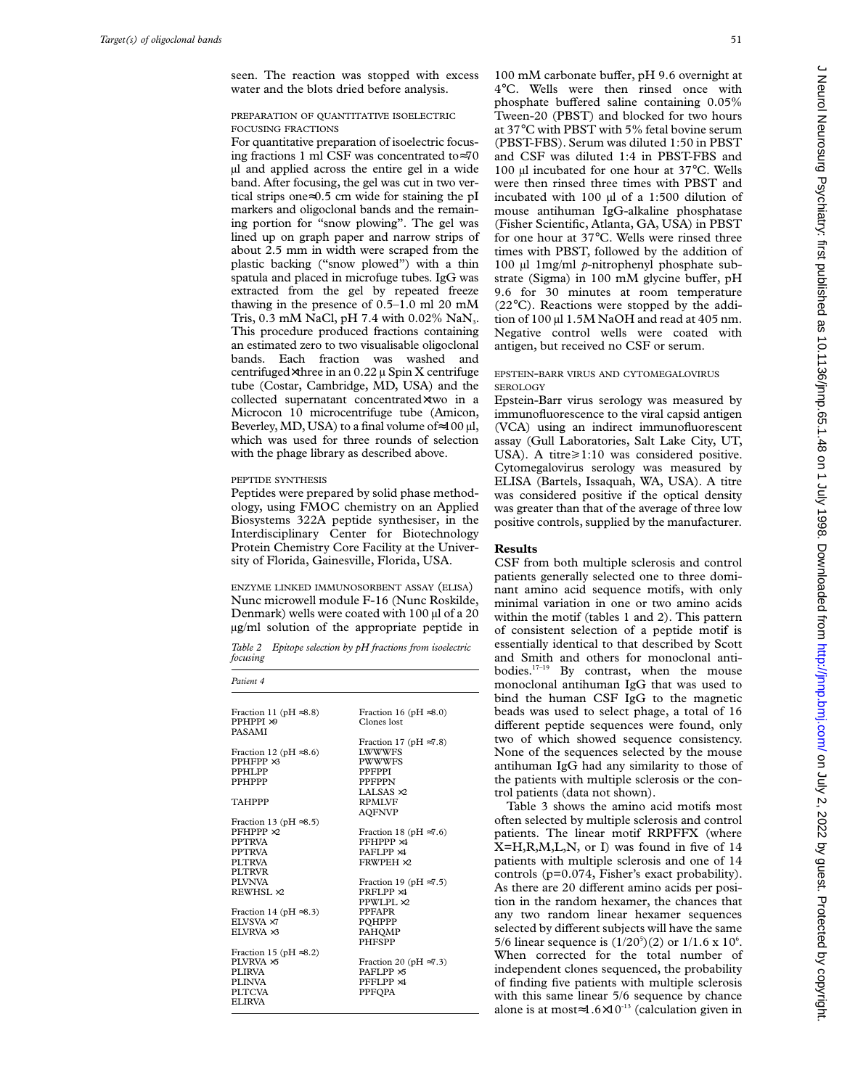seen. The reaction was stopped with excess water and the blots dried before analysis.

## PREPARATION OF QUANTITATIVE ISOELECTRIC FOCUSING FRACTIONS

For quantitative preparation of isoelectric focusing fractions 1 ml CSF was concentrated to≈70 µl and applied across the entire gel in a wide band. After focusing, the gel was cut in two vertical strips one≈0.5 cm wide for staining the pI markers and oligoclonal bands and the remaining portion for "snow plowing". The gel was lined up on graph paper and narrow strips of about 2.5 mm in width were scraped from the plastic backing ("snow plowed") with a thin spatula and placed in microfuge tubes. IgG was extracted from the gel by repeated freeze thawing in the presence of 0.5–1.0 ml 20 mM Tris, 0.3 mM NaCl, pH 7.4 with 0.02%  $\text{NaN}_3$ . This procedure produced fractions containing an estimated zero to two visualisable oligoclonal bands. Each fraction was washed and centrifuged $\times$ three in an 0.22  $\mu$  Spin X centrifuge tube (Costar, Cambridge, MD, USA) and the collected supernatant concentrated×two in a Microcon 10 microcentrifuge tube (Amicon, Beverley, MD, USA) to a final volume of $\approx$ 100 µl, which was used for three rounds of selection with the phage library as described above.

## PEPTIDE SYNTHESIS

Peptides were prepared by solid phase methodology, using FMOC chemistry on an Applied Biosystems 322A peptide synthesiser, in the Interdisciplinary Center for Biotechnology Protein Chemistry Core Facility at the University of Florida, Gainesville, Florida, USA.

ENZYME LINKED IMMUNOSORBENT ASSAY (ELISA) Nunc microwell module F-16 (Nunc Roskilde, Denmark) wells were coated with 100 µl of a 20 µg/ml solution of the appropriate peptide in

*Table 2 Epitope selection by pH fractions from isoelectric focusing*

| Patient <sub>4</sub>                                                                              |                                                                                                    |  |  |  |
|---------------------------------------------------------------------------------------------------|----------------------------------------------------------------------------------------------------|--|--|--|
| Fraction 11 (pH $\approx 8.8$ )<br>PPHPPI $\times$ 9<br>PASAMI                                    | Fraction 16 (pH $\approx$ 8.0)<br>Clones lost                                                      |  |  |  |
| Fraction 12 (pH $\approx 8.6$ )<br>$PPHFPP \times 3$<br>PPHI PP<br><b>PPHPPP</b>                  | Fraction 17 (pH $\approx$ 7.8)<br><b>LWWWFS</b><br><b>PWWWFS</b><br><b>PPFPPI</b><br><b>PPFPPN</b> |  |  |  |
| <b>TAHPPP</b><br>Fraction 13 (pH $\approx$ 8.5)                                                   | LALSAS $\times$ 2<br><b>RPMLVF</b><br><b>AQFNVP</b>                                                |  |  |  |
| $PFHPPP \times 2$<br><b>PPTRVA</b><br><b>PPTRVA</b><br>PI TRVA<br><b>PLTRVR</b>                   | Fraction 18 (pH $\approx$ 7.6)<br>PFHPPP ×4<br>PAFLPP $\times$ 4<br>FRWPEH ×2                      |  |  |  |
| PI VNVA<br>REWHSL ×2                                                                              | Fraction 19 (pH $\approx$ 7.5)<br>PRFLPP ×4<br>PPWLPL ×2                                           |  |  |  |
| Fraction 14 (pH $\approx$ 8.3)<br>EI VSVA ×7<br>$E$ I VRVA $\times$ 3                             | <b>PPFAPR</b><br>POHPPP<br>PAHOMP<br><b>PHFSPP</b>                                                 |  |  |  |
| Fraction 15 (pH $\approx$ 8.2)<br>PLVRVA ×5<br>PLIRVA<br>PLINVA<br><b>PLTCVA</b><br><b>ELIRVA</b> | Fraction 20 (pH $\approx$ 7.3)<br>PAFLPP $\times$ 5<br>PFFLPP ×4<br>PPFOPA                         |  |  |  |

100 mM carbonate buffer, pH 9.6 overnight at 4°C. Wells were then rinsed once with phosphate buffered saline containing  $0.05\%$ Tween-20 (PBST) and blocked for two hours at 37°C with PBST with 5% fetal bovine serum (PBST-FBS). Serum was diluted 1:50 in PBST and CSF was diluted 1:4 in PBST-FBS and 100 µl incubated for one hour at 37°C. Wells were then rinsed three times with PBST and incubated with 100 µl of a 1:500 dilution of mouse antihuman IgG-alkaline phosphatase (Fisher Scientific, Atlanta, GA, USA) in PBST for one hour at 37°C. Wells were rinsed three times with PBST, followed by the addition of 100 µl 1mg/ml *p*-nitrophenyl phosphate substrate (Sigma) in  $100$  mM glycine buffer, pH 9.6 for 30 minutes at room temperature (22°C). Reactions were stopped by the addition of 100 µl 1.5M NaOH and read at 405 nm. Negative control wells were coated with antigen, but received no CSF or serum.

## EPSTEIN-BARR VIRUS AND CYTOMEGALOVIRUS SEROLOGY

Epstein-Barr virus serology was measured by immunofluorescence to the viral capsid antigen (VCA) using an indirect immunofluorescent assay (Gull Laboratories, Salt Lake City, UT, USA). A titre≥1:10 was considered positive. Cytomegalovirus serology was measured by ELISA (Bartels, Issaquah, WA, USA). A titre was considered positive if the optical density was greater than that of the average of three low positive controls, supplied by the manufacturer.

## **Results**

CSF from both multiple sclerosis and control patients generally selected one to three dominant amino acid sequence motifs, with only minimal variation in one or two amino acids within the motif (tables 1 and 2). This pattern of consistent selection of a peptide motif is essentially identical to that described by Scott and Smith and others for monoclonal antibodies.17–19 By contrast, when the mouse monoclonal antihuman IgG that was used to bind the human CSF IgG to the magnetic beads was used to select phage, a total of 16 different peptide sequences were found, only two of which showed sequence consistency. None of the sequences selected by the mouse antihuman IgG had any similarity to those of the patients with multiple sclerosis or the control patients (data not shown).

Table 3 shows the amino acid motifs most often selected by multiple sclerosis and control patients. The linear motif RRPFFX (where  $X=H, R, M, L, N,$  or I) was found in five of 14 patients with multiple sclerosis and one of 14 controls (p=0.074, Fisher's exact probability). As there are 20 different amino acids per position in the random hexamer, the chances that any two random linear hexamer sequences selected by different subjects will have the same 5/6 linear sequence is  $(1/20^5)(2)$  or  $1/1.6 \times 10^6$ . When corrected for the total number of independent clones sequenced, the probability of finding five patients with multiple sclerosis with this same linear 5/6 sequence by chance alone is at most≈1.6×10<sup>-13</sup> (calculation given in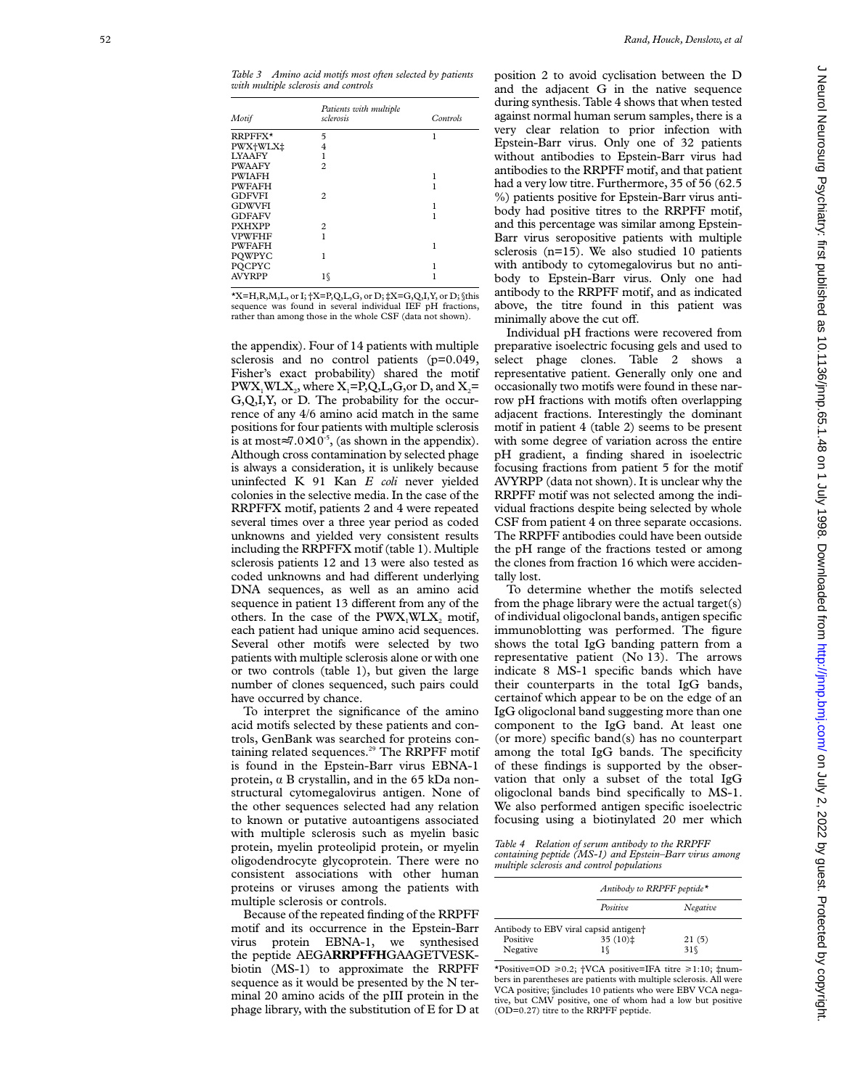| Motif         | Patients with multiple<br>sclerosis | Controls |
|---------------|-------------------------------------|----------|
| RRPFFX*       | 5                                   | 1        |
| PWX+WLX‡      | 4                                   |          |
| <b>LYAAFY</b> | 1                                   |          |
| <b>PWAAFY</b> | $\mathfrak{D}$                      |          |
| <b>PWIAFH</b> |                                     |          |
| <b>PWFAFH</b> |                                     | 1        |
| GDFVFI        | $\mathfrak{D}$                      |          |
| <b>GDWVFI</b> |                                     | 1        |
| <b>GDFAFV</b> |                                     |          |
| <b>PXHXPP</b> | $\overline{c}$                      |          |
| <b>VPWFHF</b> | 1                                   |          |
| <b>PWFAFH</b> |                                     | 1        |
| POWPYC        | 1                                   |          |
| POCPYC        |                                     | ı        |
| <b>AVYRPP</b> | 10                                  |          |

\*X=H,R,M,L, or I; †X=P,Q,L,G, or D; ‡X=G,Q,I,Y, or D; §this sequence was found in several individual IEF pH fractions, rather than among those in the whole CSF (data not shown).

the appendix). Four of 14 patients with multiple sclerosis and no control patients (p=0.049, Fisher's exact probability) shared the motif  $PWX_1WLX_2$ , where  $X_1 = P,Q,L,G,$  or D, and  $X_2 =$ G,Q,I,Y, or D. The probability for the occurrence of any 4/6 amino acid match in the same positions for four patients with multiple sclerosis is at most $\approx 7.0 \times 10^{-5}$ , (as shown in the appendix). Although cross contamination by selected phage is always a consideration, it is unlikely because uninfected K 91 Kan *E coli* never yielded colonies in the selective media. In the case of the RRPFFX motif, patients 2 and 4 were repeated several times over a three year period as coded unknowns and yielded very consistent results including the RRPFFX motif (table 1). Multiple sclerosis patients 12 and 13 were also tested as coded unknowns and had different underlying DNA sequences, as well as an amino acid sequence in patient 13 different from any of the others. In the case of the  $PWX_1WLX_2$  motif, each patient had unique amino acid sequences. Several other motifs were selected by two patients with multiple sclerosis alone or with one or two controls (table 1), but given the large number of clones sequenced, such pairs could have occurred by chance.

To interpret the significance of the amino acid motifs selected by these patients and controls, GenBank was searched for proteins containing related sequences.<sup>29</sup> The RRPFF motif is found in the Epstein-Barr virus EBNA-1 protein, á B crystallin, and in the 65 kDa nonstructural cytomegalovirus antigen. None of the other sequences selected had any relation to known or putative autoantigens associated with multiple sclerosis such as myelin basic protein, myelin proteolipid protein, or myelin oligodendrocyte glycoprotein. There were no consistent associations with other human proteins or viruses among the patients with multiple sclerosis or controls.

Because of the repeated finding of the RRPFF motif and its occurrence in the Epstein-Barr virus protein EBNA-1, we synthesised the peptide AEGA**RRPFFH**GAAGETVESKbiotin (MS-1) to approximate the RRPFF sequence as it would be presented by the N terminal 20 amino acids of the pIII protein in the phage library, with the substitution of E for D at position 2 to avoid cyclisation between the D and the adjacent G in the native sequence during synthesis. Table 4 shows that when tested against normal human serum samples, there is a very clear relation to prior infection with Epstein-Barr virus. Only one of 32 patients without antibodies to Epstein-Barr virus had antibodies to the RRPFF motif, and that patient had a very low titre. Furthermore, 35 of 56 (62.5 %) patients positive for Epstein-Barr virus antibody had positive titres to the RRPFF motif, and this percentage was similar among Epstein-Barr virus seropositive patients with multiple sclerosis (n=15). We also studied 10 patients with antibody to cytomegalovirus but no antibody to Epstein-Barr virus. Only one had antibody to the RRPFF motif, and as indicated above, the titre found in this patient was minimally above the cut off.

Individual pH fractions were recovered from preparative isoelectric focusing gels and used to select phage clones. Table 2 shows a representative patient. Generally only one and occasionally two motifs were found in these narrow pH fractions with motifs often overlapping adjacent fractions. Interestingly the dominant motif in patient 4 (table 2) seems to be present with some degree of variation across the entire pH gradient, a finding shared in isoelectric focusing fractions from patient 5 for the motif AVYRPP (data not shown). It is unclear why the RRPFF motif was not selected among the individual fractions despite being selected by whole CSF from patient 4 on three separate occasions. The RRPFF antibodies could have been outside the pH range of the fractions tested or among the clones from fraction 16 which were accidentally lost.

To determine whether the motifs selected from the phage library were the actual target(s) of individual oligoclonal bands, antigen specific immunoblotting was performed. The figure shows the total IgG banding pattern from a representative patient (No 13). The arrows indicate 8 MS-1 specific bands which have their counterparts in the total IgG bands, certainof which appear to be on the edge of an IgG oligoclonal band suggesting more than one component to the IgG band. At least one (or more) specific band(s) has no counterpart among the total IgG bands. The specificity of these findings is supported by the observation that only a subset of the total IgG oligoclonal bands bind specifically to MS-1. We also performed antigen specific isoelectric focusing using a biotinylated 20 mer which

*Table 4 Relation of serum antibody to the RRPFF containing peptide (MS-1) and Epstein–Barr virus among multiple sclerosis and control populations*

|          |                                                   | Antibody to RRPFF peptide* |  |
|----------|---------------------------------------------------|----------------------------|--|
|          | Positive                                          | Negative                   |  |
|          | Antibody to EBV viral capsid antigen <sup>+</sup> |                            |  |
| Positive | $35(10)$ $\ddagger$                               | 21(5)                      |  |
| Negative | 16                                                | $31\%$                     |  |

\*Positive=OD >0.2; †VCA positive=IFA titre >1:10; ‡numbers in parentheses are patients with multiple sclerosis. All were VCA positive; §includes 10 patients who were EBV VCA negative, but CMV positive, one of whom had a low but positive (OD=0.27) titre to the RRPFF peptide.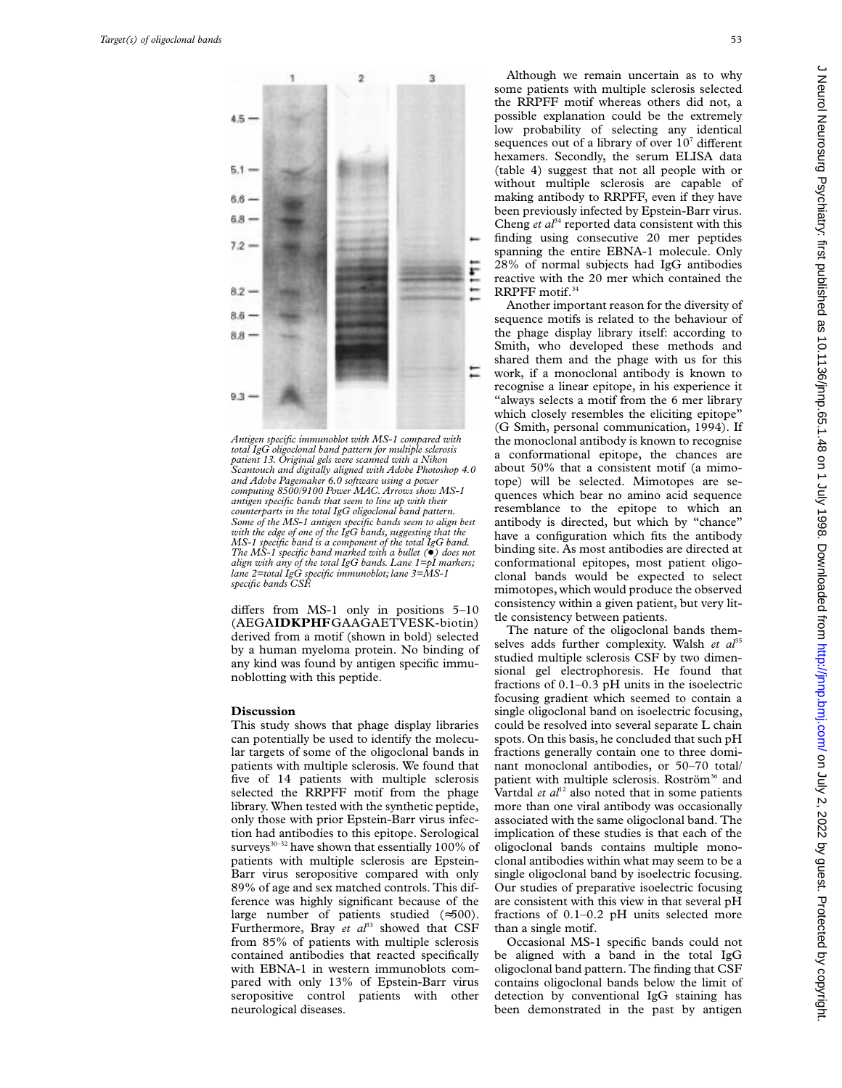

*Antigen specific immunoblot with MS-1 compared with total IgG oligoclonal band pattern for multiple sclerosis patient 13. Original gels were scanned with a Nikon Scantouch and digitally aligned with Adobe Photoshop 4.0 and Adobe Pagemaker 6.0 software using a power computing 8500/9100 Power MAC. Arrows show MS-1 antigen specific bands that seem to line up with their counterparts in the total IgG oligoclonal band pattern. Some of the MS-1 antigen specific bands seem to align best with the edge of one of the IgG bands, suggesting that the MS-1 specific band is a component of the total IgG band. The MS-1 specific band marked with a bullet (*+*) does not align with any of the total IgG bands. Lane 1=pI markers; lane 2=total IgG specific immunoblot; lane 3=MS-1 specific bands CSF.*

differs from MS-1 only in positions  $5-10$ (AEGA**IDKPHF**GAAGAETVESK-biotin) derived from a motif (shown in bold) selected by a human myeloma protein. No binding of any kind was found by antigen specific immunoblotting with this peptide.

#### **Discussion**

This study shows that phage display libraries can potentially be used to identify the molecular targets of some of the oligoclonal bands in patients with multiple sclerosis. We found that five of 14 patients with multiple sclerosis selected the RRPFF motif from the phage library. When tested with the synthetic peptide, only those with prior Epstein-Barr virus infection had antibodies to this epitope. Serological surveys $^{\!30\text{--}32}$  have shown that essentially 100% of patients with multiple sclerosis are Epstein-Barr virus seropositive compared with only 89% of age and sex matched controls. This difference was highly significant because of the large number of patients studied (≈500). Furthermore, Bray et al<sup>33</sup> showed that CSF from 85% of patients with multiple sclerosis contained antibodies that reacted specifically with EBNA-1 in western immunoblots compared with only 13% of Epstein-Barr virus seropositive control patients with other neurological diseases.

Although we remain uncertain as to why some patients with multiple sclerosis selected the RRPFF motif whereas others did not, a possible explanation could be the extremely low probability of selecting any identical sequences out of a library of over  $10^7$  different hexamers. Secondly, the serum ELISA data (table 4) suggest that not all people with or without multiple sclerosis are capable of making antibody to RRPFF, even if they have been previously infected by Epstein-Barr virus. Cheng  $et \, d^{34}$  reported data consistent with this finding using consecutive 20 mer peptides spanning the entire EBNA-1 molecule. Only 28% of normal subjects had IgG antibodies reactive with the 20 mer which contained the RRPFF motif.<sup>34</sup>

Another important reason for the diversity of sequence motifs is related to the behaviour of the phage display library itself: according to Smith, who developed these methods and shared them and the phage with us for this work, if a monoclonal antibody is known to recognise a linear epitope, in his experience it "always selects a motif from the 6 mer library which closely resembles the eliciting epitope' (G Smith, personal communication, 1994). If the monoclonal antibody is known to recognise a conformational epitope, the chances are about 50% that a consistent motif (a mimotope) will be selected. Mimotopes are sequences which bear no amino acid sequence resemblance to the epitope to which an antibody is directed, but which by "chance" have a configuration which fits the antibody binding site. As most antibodies are directed at conformational epitopes, most patient oligoclonal bands would be expected to select mimotopes, which would produce the observed consistency within a given patient, but very little consistency between patients.

The nature of the oligoclonal bands themselves adds further complexity. Walsh et al<sup>35</sup> studied multiple sclerosis CSF by two dimensional gel electrophoresis. He found that fractions of 0.1–0.3 pH units in the isoelectric focusing gradient which seemed to contain a single oligoclonal band on isoelectric focusing, could be resolved into several separate L chain spots. On this basis, he concluded that such pH fractions generally contain one to three dominant monoclonal antibodies, or 50–70 total/ patient with multiple sclerosis. Roström<sup>36</sup> and Vartdal  $et$   $al<sup>12</sup>$  also noted that in some patients more than one viral antibody was occasionally associated with the same oligoclonal band. The implication of these studies is that each of the oligoclonal bands contains multiple monoclonal antibodies within what may seem to be a single oligoclonal band by isoelectric focusing. Our studies of preparative isoelectric focusing are consistent with this view in that several pH fractions of 0.1–0.2 pH units selected more than a single motif.

Occasional MS-1 specific bands could not be aligned with a band in the total IgG oligoclonal band pattern. The finding that CSF contains oligoclonal bands below the limit of detection by conventional IgG staining has been demonstrated in the past by antigen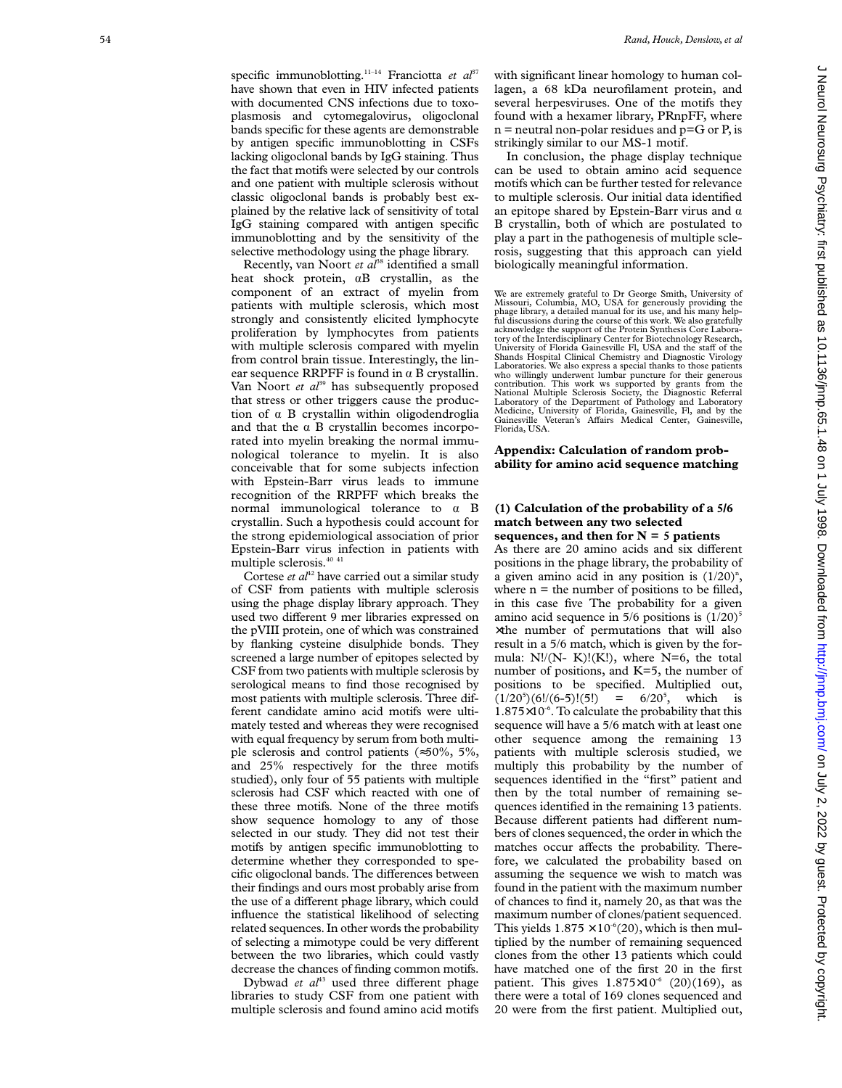specific immunoblotting.<sup>11-14</sup> Franciotta et al<sup>37</sup> have shown that even in HIV infected patients with documented CNS infections due to toxoplasmosis and cytomegalovirus, oligoclonal bands specific for these agents are demonstrable by antigen specific immunoblotting in CSFs lacking oligoclonal bands by IgG staining. Thus the fact that motifs were selected by our controls and one patient with multiple sclerosis without classic oligoclonal bands is probably best explained by the relative lack of sensitivity of total IgG staining compared with antigen specific immunoblotting and by the sensitivity of the selective methodology using the phage library.

Recently, van Noort et al<sup>38</sup> identified a small heat shock protein, aB crystallin, as the component of an extract of myelin from patients with multiple sclerosis, which most strongly and consistently elicited lymphocyte proliferation by lymphocytes from patients with multiple sclerosis compared with myelin from control brain tissue. Interestingly, the linear sequence RRPFF is found in  $\alpha$  B crystallin. Van Noort *et al*<sup>39</sup> has subsequently proposed that stress or other triggers cause the production of  $\alpha$  B crystallin within oligodendroglia and that the  $\alpha$  B crystallin becomes incorporated into myelin breaking the normal immunological tolerance to myelin. It is also conceivable that for some subjects infection with Epstein-Barr virus leads to immune recognition of the RRPFF which breaks the normal immunological tolerance to  $\alpha$  B crystallin. Such a hypothesis could account for the strong epidemiological association of prior Epstein-Barr virus infection in patients with multiple sclerosis.40 41

Cortese *et al*<sup>42</sup> have carried out a similar study of CSF from patients with multiple sclerosis using the phage display library approach. They used two different 9 mer libraries expressed on the pVIII protein, one of which was constrained by flanking cysteine disulphide bonds. They screened a large number of epitopes selected by CSF from two patients with multiple sclerosis by serological means to find those recognised by most patients with multiple sclerosis. Three different candidate amino acid motifs were ultimately tested and whereas they were recognised with equal frequency by serum from both multiple sclerosis and control patients (≈50%, 5%, and 25% respectively for the three motifs studied), only four of 55 patients with multiple sclerosis had CSF which reacted with one of these three motifs. None of the three motifs show sequence homology to any of those selected in our study. They did not test their motifs by antigen specific immunoblotting to determine whether they corresponded to specific oligoclonal bands. The differences between their findings and ours most probably arise from the use of a different phage library, which could influence the statistical likelihood of selecting related sequences. In other words the probability of selecting a mimotype could be very different between the two libraries, which could vastly decrease the chances of finding common motifs.

Dybwad et al<sup>43</sup> used three different phage libraries to study CSF from one patient with multiple sclerosis and found amino acid motifs with significant linear homology to human collagen, a 68 kDa neurofilament protein, and several herpesviruses. One of the motifs they found with a hexamer library, PRnpFF, where  $n$  = neutral non-polar residues and  $p = G$  or P, is strikingly similar to our MS-1 motif.

In conclusion, the phage display technique can be used to obtain amino acid sequence motifs which can be further tested for relevance to multiple sclerosis. Our initial data identified an epitope shared by Epstein-Barr virus and  $\alpha$ B crystallin, both of which are postulated to play a part in the pathogenesis of multiple sclerosis, suggesting that this approach can yield biologically meaningful information.

We are extremely grateful to Dr George Smith, University of Missouri, Columbia, MO, USA for generously providing the phage library, a detailed manual for its use, and his many helpful discussions during the course of this work. We also gratefully acknowledge the support of the Protein Synthesis Core Laboratory of the Interdisciplinary Center for Biotechnology Research, University of Florida Gainesville Fl, USA and the staff of the Shands Hospital Clinical Chemistry and Diagnostic Virology Laboratories. We also express a special thanks to those patients who willingly underwent lumbar puncture for their generous contribution. This work ws supported by grants from the National Multiple Sclerosis Society, the Diagnostic Referral Laboratory of the Department of Pathology and Laboratory Medicine, University of Florida, Gainesville, Fl, and by the Gainesville Veteran's A Vairs Medical Center, Gainesville, Florida, USA.

## **Appendix: Calculation of random probability for amino acid sequence matching**

## **(1) Calculation of the probability of a 5/6 match between any two selected sequences, and then for N = 5 patients**

As there are 20 amino acids and six different positions in the phage library, the probability of a given amino acid in any position is  $(1/20)^n$ , where  $n =$  the number of positions to be filled, in this case five The probability for a given amino acid sequence in 5/6 positions is (1/20) 5 ×the number of permutations that will also result in a 5/6 match, which is given by the formula: N!/(N- K)!(K!), where N=6, the total number of positions, and K=5, the number of positions to be specified. Multiplied out,  $(1/20^5)(6!/(6-5)!(5!) = 6/20^5$ , which is  $1.875\times10^{-6}$ . To calculate the probability that this sequence will have a 5/6 match with at least one other sequence among the remaining 13 patients with multiple sclerosis studied, we multiply this probability by the number of sequences identified in the "first" patient and then by the total number of remaining sequences identified in the remaining 13 patients. e<br>Because different patients had different numbers of clones sequenced, the order in which the matches occur affects the probability. Therefore, we calculated the probability based on assuming the sequence we wish to match was found in the patient with the maximum number of chances to find it, namely 20, as that was the maximum number of clones/patient sequenced. This yields  $1.875 \times 10^{-6}$ (20), which is then multiplied by the number of remaining sequenced clones from the other 13 patients which could have matched one of the first 20 in the first patient. This gives  $1.875 \times 10^{-6}$  (20)(169), as there were a total of 169 clones sequenced and 20 were from the first patient. Multiplied out,